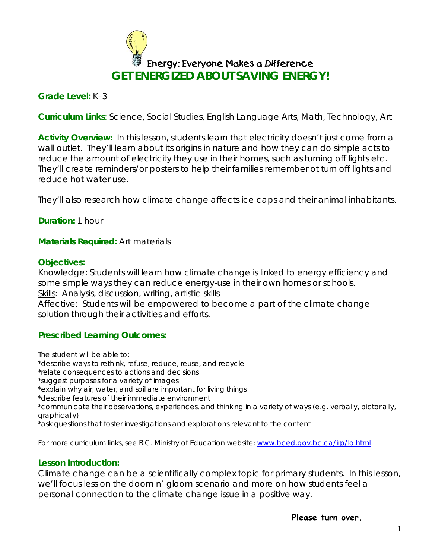

## **Grade Level:** K–3

**Curriculum Links**: Science, Social Studies, English Language Arts, Math, Technology, Art

Activity Overview: In this lesson, students learn that electricity doesn't just come from a wall outlet. They'll learn about its origins in nature and how they can do simple acts to reduce the amount of electricity they use in their homes, such as turning off lights etc. They'll create reminders/or posters to help their families remember ot turn off lights and reduce hot water use.

They'll also research how climate change affects ice caps and their animal inhabitants.

### **Duration:** 1 hour

**Materials Required:** Art materials

#### **Objectives:**

Knowledge: Students will learn how climate change is linked to energy efficiency and some simple ways they can reduce energy-use in their own homes or schools. Skills: Analysis, discussion, writing, artistic skills

Affective: Students will be empowered to become a part of the climate change solution through their activities and efforts.

#### **Prescribed Learning Outcomes:**

*The student will be able to:* 

\*describe ways to rethink, refuse, reduce, reuse, and recycle

\*relate consequences to actions and decisions

\*suggest purposes for a variety of images

\*explain why air, water, and soil are important for living things

\*describe features of their immediate environment

\*communicate their observations, experiences, and thinking in a variety of ways (e.g. verbally, pictorially, graphically)

\*ask questions that foster investigations and explorations relevant to the content

For more curriculum links, see B.C. Ministry of Education website: [www.bced.gov.bc.ca/irp/lo.html](http://www.bced.gov.bc.ca/irp/lo.html)

#### **Lesson Introduction:**

Climate change can be a scientifically complex topic for primary students. In this lesson, we'll focus less on the doom n' gloom scenario and more on how students feel a personal connection to the climate change issue in a positive way.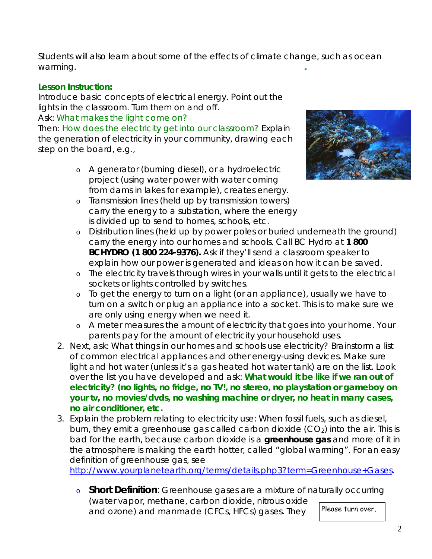Students will also learn about some of the effects of climate change, such as ocean warming.

# **Lesson Instruction:**

Introduce basic concepts of electrical energy. Point out the lights in the classroom. Turn them on and off.

## Ask: *What makes the light come on?*

Then: *How does the electricity get into our classroom?* Explain the generation of electricity in your community, drawing each step on the board, e.g.,

> o A generator (burning diesel), or a hydroelectric project (using water power with water coming from dams in lakes for example), creates energy.



- o Transmission lines (held up by transmission towers) carry the energy to a substation, where the energy is divided up to send to homes, schools, etc.
- o Distribution lines (held up by power poles or buried underneath the ground) carry the energy into our homes and schools. Call BC Hydro at **1 800 BCHYDRO (1 800 224-9376).** Ask if they'll send a classroom speaker to explain how our power is generated and ideas on how it can be saved.
- o The electricity travels through wires in your walls until it gets to the electrical sockets or lights controlled by switches.
- o To get the energy to turn on a light (or an appliance), usually we have to turn on a switch or plug an appliance into a socket. This is to make sure we are only using energy when we need it.
- o A meter measures the amount of electricity that goes into your home. Your parents pay for the amount of electricity your household uses.
- 2. Next, ask: *What things in our homes and schools use electricity?* Brainstorm a list of common electrical appliances and other energy-using devices. Make sure light and hot water (unless it's a gas heated hot water tank) are on the list. Look over the list you have developed and ask: *What would it be like if we ran out of electricity?* **(no lights, no fridge, no TV!, no stereo, no playstation or gameboy on your tv, no movies/dvds, no washing machine or dryer, no heat in many cases, no air conditioner, etc.**
- 3. Explain the problem relating to electricity use: When fossil fuels, such as diesel, burn, they emit a greenhouse gas called carbon dioxide  $(CO<sub>2</sub>)$  into the air. This is bad for the earth, because carbon dioxide is a **greenhouse gas** and more of it in the atmosphere is making the earth hotter, called "global warming". For an easy definition of greenhouse gas, see

[http://www.yourplanetearth.org/terms/details.php3?term=Greenhouse+Gases.](http://www.yourplanetearth.org/terms/details.php3?term=Greenhouse+Gases)

o **Short Definition**: Greenhouse gases are a mixture of naturally occurring (water vapor, methane, carbon dioxide, nitrous oxide and ozone) and manmade (CFCs, HFCs) gases. They Please turn over.

2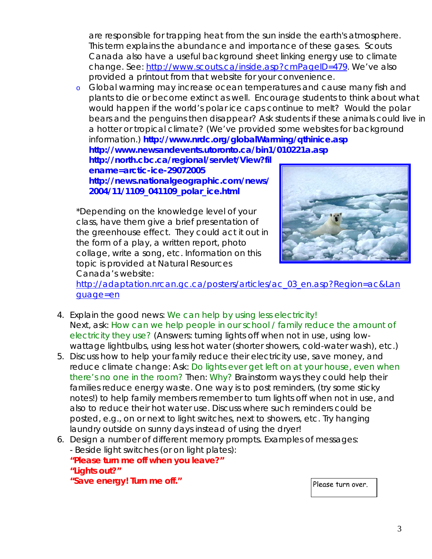are responsible for trapping heat from the sun inside the earth's atmosphere. This term explains the abundance and importance of these gases. Scouts Canada also have a useful background sheet linking energy use to climate change. See: [http://www.scouts.ca/inside.asp?cmPageID=479.](http://www.scouts.ca/inside.asp?cmPageID=479) We've also provided a printout from that website for your convenience.

o Global warming may increase ocean temperatures and cause many fish and plants to die or become extinct as well. Encourage students to think about what would happen if the world's polar ice caps continue to melt? Would the polar bears and the penguins then disappear? Ask students if these animals could live in a hotter or tropical climate? (We've provided some websites for background information.) **<http://www.nrdc.org/globalWarming/qthinice.asp>**

**<http://www.newsandevents.utoronto.ca/bin1/010221a.asp> <http://north.cbc.ca/regional/servlet/View?fil> ename=arctic-ice-29072005**

**[http://news.nationalgeographic.com/news/](http://news.nationalgeographic.com/news) 2004/11/1109\_041109\_polar\_ice.html**

\*Depending on the knowledge level of your class, have them give a brief presentation of the greenhouse effect. They could act it out in the form of a play, a written report, photo collage, write a song, etc. Information on this topic is provided at Natural Resources Canada's website:



[http://adaptation.nrcan.gc.ca/posters/articles/ac\\_03\\_en.asp?Region=ac&Lan](http://adaptation.nrcan.gc.ca/posters/articles/ac_03_en.asp?Region=ac&Lan) guage=en

- 4. Explain the good [news:](news:We) *We can help by using less electricity!* Next, ask: *How can we help people in our school / family reduce the amount of electricity they use?* (Answers: turning lights off when not in use, using lowwattage lightbulbs, using less hot water (shorter showers, cold-water wash), etc.)
- 5. Discuss how to help your family reduce their electricity use, save money, and reduce climate change: Ask: *Do lights ever get left on at your house, even when there's no one in the room?* Then: *Why?* Brainstorm ways they could help their families reduce energy waste. One way is to post reminders, (try some sticky notes!) to help family members remember to turn lights off when not in use, and also to reduce their hot water use. Discuss where such reminders could be posted, e.g., on or next to light switches, next to showers, etc. Try hanging laundry outside on sunny days instead of using the dryer!
- 6. Design a number of different memory prompts. Examples of messages: - Beside light switches (or on light plates): **"Please turn me off when you leave?" "Lights out?"** "Save energy! Turn me off."

3